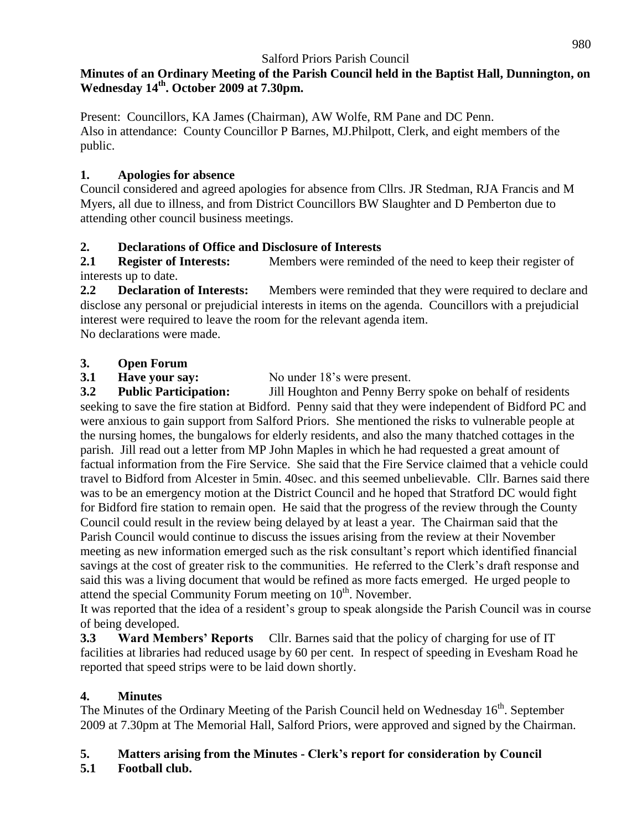#### **Minutes of an Ordinary Meeting of the Parish Council held in the Baptist Hall, Dunnington, on Wednesday 14 th . October 2009 at 7.30pm.**

Present: Councillors, KA James (Chairman), AW Wolfe, RM Pane and DC Penn. Also in attendance: County Councillor P Barnes, MJ.Philpott, Clerk, and eight members of the public.

### **1. Apologies for absence**

Council considered and agreed apologies for absence from Cllrs. JR Stedman, RJA Francis and M Myers, all due to illness, and from District Councillors BW Slaughter and D Pemberton due to attending other council business meetings.

### **2. Declarations of Office and Disclosure of Interests**

**2.1 Register of Interests:** Members were reminded of the need to keep their register of interests up to date.

**2.2 Declaration of Interests:** Members were reminded that they were required to declare and disclose any personal or prejudicial interests in items on the agenda. Councillors with a prejudicial interest were required to leave the room for the relevant agenda item. No declarations were made.

### **3. Open Forum**

**3.1 Have your say:** No under 18's were present.

**3.2 Public Participation:** Jill Houghton and Penny Berry spoke on behalf of residents seeking to save the fire station at Bidford. Penny said that they were independent of Bidford PC and were anxious to gain support from Salford Priors. She mentioned the risks to vulnerable people at the nursing homes, the bungalows for elderly residents, and also the many thatched cottages in the parish. Jill read out a letter from MP John Maples in which he had requested a great amount of factual information from the Fire Service. She said that the Fire Service claimed that a vehicle could travel to Bidford from Alcester in 5min. 40sec. and this seemed unbelievable. Cllr. Barnes said there was to be an emergency motion at the District Council and he hoped that Stratford DC would fight for Bidford fire station to remain open. He said that the progress of the review through the County Council could result in the review being delayed by at least a year. The Chairman said that the Parish Council would continue to discuss the issues arising from the review at their November meeting as new information emerged such as the risk consultant's report which identified financial savings at the cost of greater risk to the communities. He referred to the Clerk's draft response and said this was a living document that would be refined as more facts emerged. He urged people to attend the special Community Forum meeting on  $10<sup>th</sup>$ . November.

It was reported that the idea of a resident's group to speak alongside the Parish Council was in course of being developed.

**3.3 Ward Members' Reports** Cllr. Barnes said that the policy of charging for use of IT facilities at libraries had reduced usage by 60 per cent. In respect of speeding in Evesham Road he reported that speed strips were to be laid down shortly.

### **4. Minutes**

The Minutes of the Ordinary Meeting of the Parish Council held on Wednesday 16<sup>th</sup>. September 2009 at 7.30pm at The Memorial Hall, Salford Priors, were approved and signed by the Chairman.

# **5. Matters arising from the Minutes - Clerk's report for consideration by Council**

# **5.1 Football club.**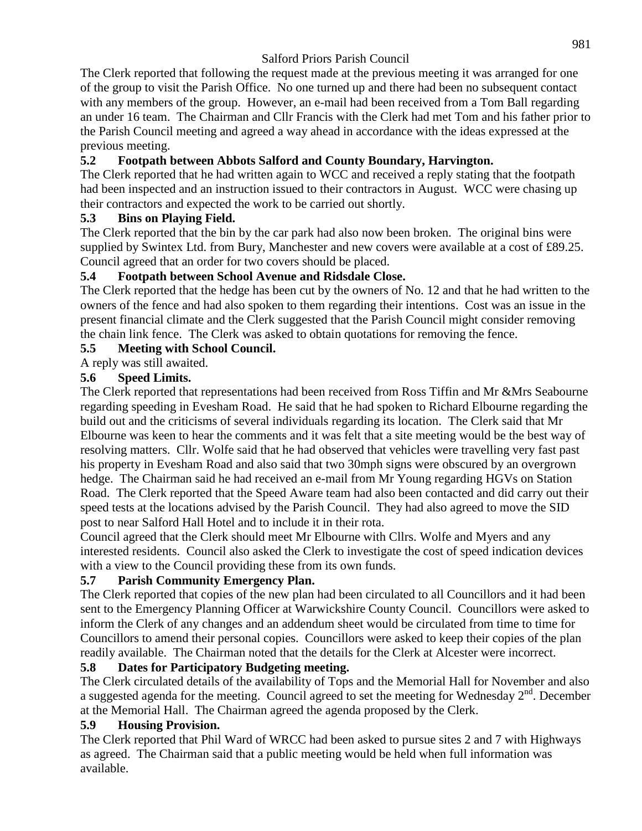The Clerk reported that following the request made at the previous meeting it was arranged for one of the group to visit the Parish Office. No one turned up and there had been no subsequent contact with any members of the group. However, an e-mail had been received from a Tom Ball regarding an under 16 team. The Chairman and Cllr Francis with the Clerk had met Tom and his father prior to the Parish Council meeting and agreed a way ahead in accordance with the ideas expressed at the previous meeting.

# **5.2 Footpath between Abbots Salford and County Boundary, Harvington.**

The Clerk reported that he had written again to WCC and received a reply stating that the footpath had been inspected and an instruction issued to their contractors in August. WCC were chasing up their contractors and expected the work to be carried out shortly.

### **5.3 Bins on Playing Field.**

The Clerk reported that the bin by the car park had also now been broken. The original bins were supplied by Swintex Ltd. from Bury, Manchester and new covers were available at a cost of £89.25. Council agreed that an order for two covers should be placed.

#### **5.4 Footpath between School Avenue and Ridsdale Close.**

The Clerk reported that the hedge has been cut by the owners of No. 12 and that he had written to the owners of the fence and had also spoken to them regarding their intentions. Cost was an issue in the present financial climate and the Clerk suggested that the Parish Council might consider removing the chain link fence. The Clerk was asked to obtain quotations for removing the fence.

### **5.5 Meeting with School Council.**

### A reply was still awaited.

#### **5.6 Speed Limits.**

The Clerk reported that representations had been received from Ross Tiffin and Mr &Mrs Seabourne regarding speeding in Evesham Road. He said that he had spoken to Richard Elbourne regarding the build out and the criticisms of several individuals regarding its location. The Clerk said that Mr Elbourne was keen to hear the comments and it was felt that a site meeting would be the best way of resolving matters. Cllr. Wolfe said that he had observed that vehicles were travelling very fast past his property in Evesham Road and also said that two 30mph signs were obscured by an overgrown hedge. The Chairman said he had received an e-mail from Mr Young regarding HGVs on Station Road. The Clerk reported that the Speed Aware team had also been contacted and did carry out their speed tests at the locations advised by the Parish Council. They had also agreed to move the SID post to near Salford Hall Hotel and to include it in their rota.

Council agreed that the Clerk should meet Mr Elbourne with Cllrs. Wolfe and Myers and any interested residents. Council also asked the Clerk to investigate the cost of speed indication devices with a view to the Council providing these from its own funds.

### **5.7 Parish Community Emergency Plan.**

The Clerk reported that copies of the new plan had been circulated to all Councillors and it had been sent to the Emergency Planning Officer at Warwickshire County Council. Councillors were asked to inform the Clerk of any changes and an addendum sheet would be circulated from time to time for Councillors to amend their personal copies. Councillors were asked to keep their copies of the plan readily available. The Chairman noted that the details for the Clerk at Alcester were incorrect.

### **5.8 Dates for Participatory Budgeting meeting.**

The Clerk circulated details of the availability of Tops and the Memorial Hall for November and also a suggested agenda for the meeting. Council agreed to set the meeting for Wednesday  $2<sup>nd</sup>$ . December at the Memorial Hall. The Chairman agreed the agenda proposed by the Clerk.

#### **5.9 Housing Provision.**

The Clerk reported that Phil Ward of WRCC had been asked to pursue sites 2 and 7 with Highways as agreed. The Chairman said that a public meeting would be held when full information was available.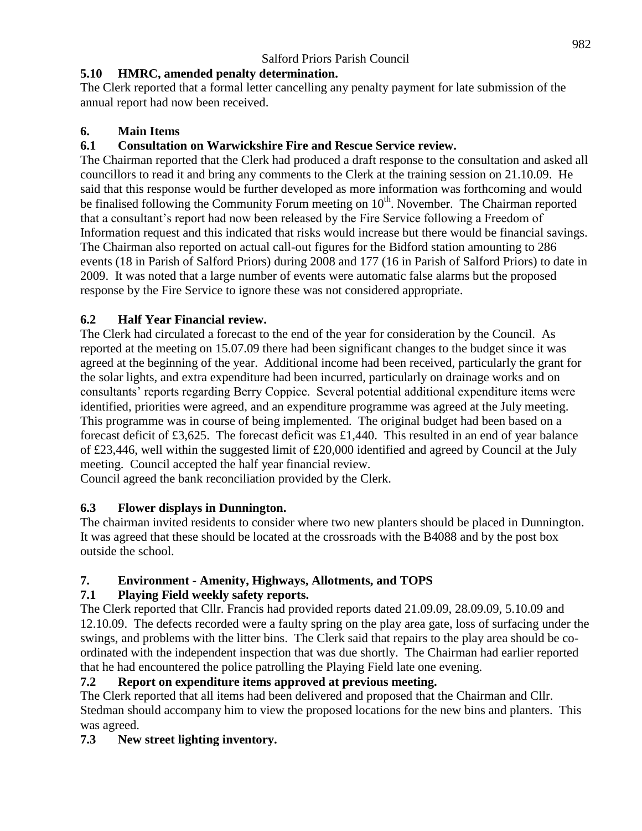# **5.10 HMRC, amended penalty determination.**

The Clerk reported that a formal letter cancelling any penalty payment for late submission of the annual report had now been received.

### **6. Main Items**

### **6.1 Consultation on Warwickshire Fire and Rescue Service review.**

The Chairman reported that the Clerk had produced a draft response to the consultation and asked all councillors to read it and bring any comments to the Clerk at the training session on 21.10.09. He said that this response would be further developed as more information was forthcoming and would be finalised following the Community Forum meeting on  $10<sup>th</sup>$ . November. The Chairman reported that a consultant's report had now been released by the Fire Service following a Freedom of Information request and this indicated that risks would increase but there would be financial savings. The Chairman also reported on actual call-out figures for the Bidford station amounting to 286 events (18 in Parish of Salford Priors) during 2008 and 177 (16 in Parish of Salford Priors) to date in 2009. It was noted that a large number of events were automatic false alarms but the proposed response by the Fire Service to ignore these was not considered appropriate.

# **6.2 Half Year Financial review.**

The Clerk had circulated a forecast to the end of the year for consideration by the Council. As reported at the meeting on 15.07.09 there had been significant changes to the budget since it was agreed at the beginning of the year. Additional income had been received, particularly the grant for the solar lights, and extra expenditure had been incurred, particularly on drainage works and on consultants' reports regarding Berry Coppice. Several potential additional expenditure items were identified, priorities were agreed, and an expenditure programme was agreed at the July meeting. This programme was in course of being implemented. The original budget had been based on a forecast deficit of £3,625. The forecast deficit was £1,440. This resulted in an end of year balance of £23,446, well within the suggested limit of £20,000 identified and agreed by Council at the July meeting. Council accepted the half year financial review.

Council agreed the bank reconciliation provided by the Clerk.

# **6.3 Flower displays in Dunnington.**

The chairman invited residents to consider where two new planters should be placed in Dunnington. It was agreed that these should be located at the crossroads with the B4088 and by the post box outside the school.

# **7. Environment - Amenity, Highways, Allotments, and TOPS**

# **7.1 Playing Field weekly safety reports.**

The Clerk reported that Cllr. Francis had provided reports dated 21.09.09, 28.09.09, 5.10.09 and 12.10.09. The defects recorded were a faulty spring on the play area gate, loss of surfacing under the swings, and problems with the litter bins. The Clerk said that repairs to the play area should be coordinated with the independent inspection that was due shortly. The Chairman had earlier reported that he had encountered the police patrolling the Playing Field late one evening.

# **7.2 Report on expenditure items approved at previous meeting.**

The Clerk reported that all items had been delivered and proposed that the Chairman and Cllr. Stedman should accompany him to view the proposed locations for the new bins and planters. This was agreed.

# **7.3 New street lighting inventory.**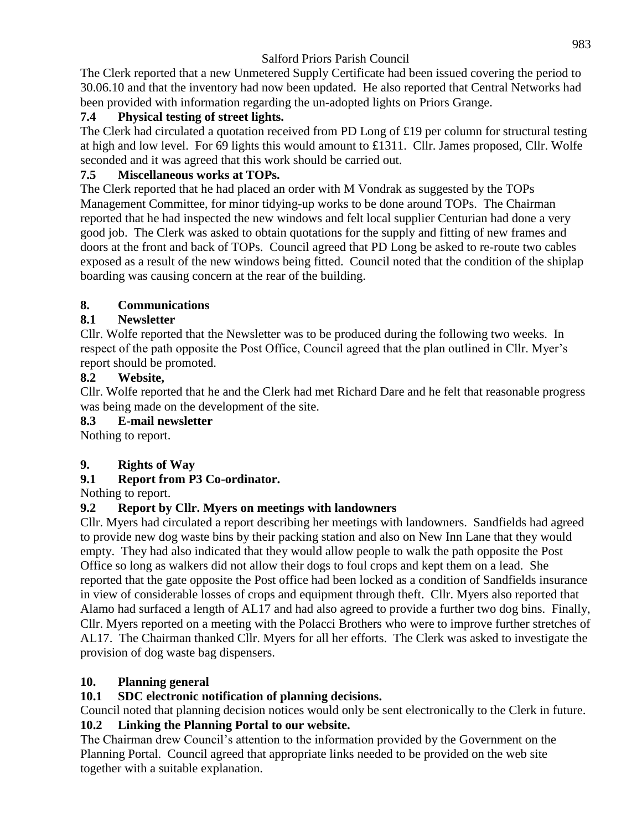The Clerk reported that a new Unmetered Supply Certificate had been issued covering the period to 30.06.10 and that the inventory had now been updated. He also reported that Central Networks had been provided with information regarding the un-adopted lights on Priors Grange.

### **7.4 Physical testing of street lights.**

The Clerk had circulated a quotation received from PD Long of £19 per column for structural testing at high and low level. For 69 lights this would amount to £1311. Cllr. James proposed, Cllr. Wolfe seconded and it was agreed that this work should be carried out.

### **7.5 Miscellaneous works at TOPs.**

The Clerk reported that he had placed an order with M Vondrak as suggested by the TOPs Management Committee, for minor tidying-up works to be done around TOPs. The Chairman reported that he had inspected the new windows and felt local supplier Centurian had done a very good job. The Clerk was asked to obtain quotations for the supply and fitting of new frames and doors at the front and back of TOPs. Council agreed that PD Long be asked to re-route two cables exposed as a result of the new windows being fitted. Council noted that the condition of the shiplap boarding was causing concern at the rear of the building.

### **8. Communications**

### **8.1 Newsletter**

Cllr. Wolfe reported that the Newsletter was to be produced during the following two weeks. In respect of the path opposite the Post Office, Council agreed that the plan outlined in Cllr. Myer's report should be promoted.

### **8.2 Website,**

Cllr. Wolfe reported that he and the Clerk had met Richard Dare and he felt that reasonable progress was being made on the development of the site.

### **8.3 E-mail newsletter**

Nothing to report.

# **9. Rights of Way**

# **9.1 Report from P3 Co-ordinator.**

Nothing to report.

# **9.2 Report by Cllr. Myers on meetings with landowners**

Cllr. Myers had circulated a report describing her meetings with landowners. Sandfields had agreed to provide new dog waste bins by their packing station and also on New Inn Lane that they would empty. They had also indicated that they would allow people to walk the path opposite the Post Office so long as walkers did not allow their dogs to foul crops and kept them on a lead. She reported that the gate opposite the Post office had been locked as a condition of Sandfields insurance in view of considerable losses of crops and equipment through theft. Cllr. Myers also reported that Alamo had surfaced a length of AL17 and had also agreed to provide a further two dog bins. Finally, Cllr. Myers reported on a meeting with the Polacci Brothers who were to improve further stretches of AL17. The Chairman thanked Cllr. Myers for all her efforts. The Clerk was asked to investigate the provision of dog waste bag dispensers.

### **10. Planning general**

### **10.1 SDC electronic notification of planning decisions.**

Council noted that planning decision notices would only be sent electronically to the Clerk in future. **10.2 Linking the Planning Portal to our website.**

The Chairman drew Council's attention to the information provided by the Government on the Planning Portal. Council agreed that appropriate links needed to be provided on the web site together with a suitable explanation.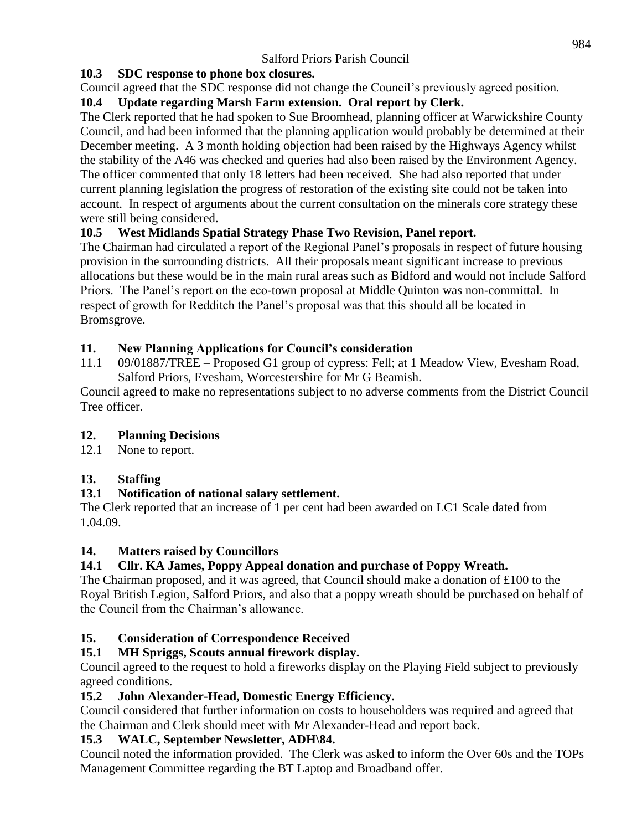# **10.3 SDC response to phone box closures.**

Council agreed that the SDC response did not change the Council's previously agreed position.

# **10.4 Update regarding Marsh Farm extension. Oral report by Clerk.**

The Clerk reported that he had spoken to Sue Broomhead, planning officer at Warwickshire County Council, and had been informed that the planning application would probably be determined at their December meeting. A 3 month holding objection had been raised by the Highways Agency whilst the stability of the A46 was checked and queries had also been raised by the Environment Agency. The officer commented that only 18 letters had been received. She had also reported that under current planning legislation the progress of restoration of the existing site could not be taken into account. In respect of arguments about the current consultation on the minerals core strategy these were still being considered.

# **10.5 West Midlands Spatial Strategy Phase Two Revision, Panel report.**

The Chairman had circulated a report of the Regional Panel's proposals in respect of future housing provision in the surrounding districts. All their proposals meant significant increase to previous allocations but these would be in the main rural areas such as Bidford and would not include Salford Priors. The Panel's report on the eco-town proposal at Middle Quinton was non-committal. In respect of growth for Redditch the Panel's proposal was that this should all be located in Bromsgrove.

# **11. New Planning Applications for Council's consideration**

11.1 09/01887/TREE – Proposed G1 group of cypress: Fell; at 1 Meadow View, Evesham Road, Salford Priors, Evesham, Worcestershire for Mr G Beamish.

Council agreed to make no representations subject to no adverse comments from the District Council Tree officer.

# **12. Planning Decisions**

12.1 None to report.

# **13. Staffing**

# **13.1 Notification of national salary settlement.**

The Clerk reported that an increase of 1 per cent had been awarded on LC1 Scale dated from 1.04.09.

# **14. Matters raised by Councillors**

# **14.1 Cllr. KA James, Poppy Appeal donation and purchase of Poppy Wreath.**

The Chairman proposed, and it was agreed, that Council should make a donation of £100 to the Royal British Legion, Salford Priors, and also that a poppy wreath should be purchased on behalf of the Council from the Chairman's allowance.

# **15. Consideration of Correspondence Received**

# **15.1 MH Spriggs, Scouts annual firework display.**

Council agreed to the request to hold a fireworks display on the Playing Field subject to previously agreed conditions.

# **15.2 John Alexander-Head, Domestic Energy Efficiency.**

Council considered that further information on costs to householders was required and agreed that the Chairman and Clerk should meet with Mr Alexander-Head and report back.

# **15.3 WALC, September Newsletter, ADH\84.**

Council noted the information provided. The Clerk was asked to inform the Over 60s and the TOPs Management Committee regarding the BT Laptop and Broadband offer.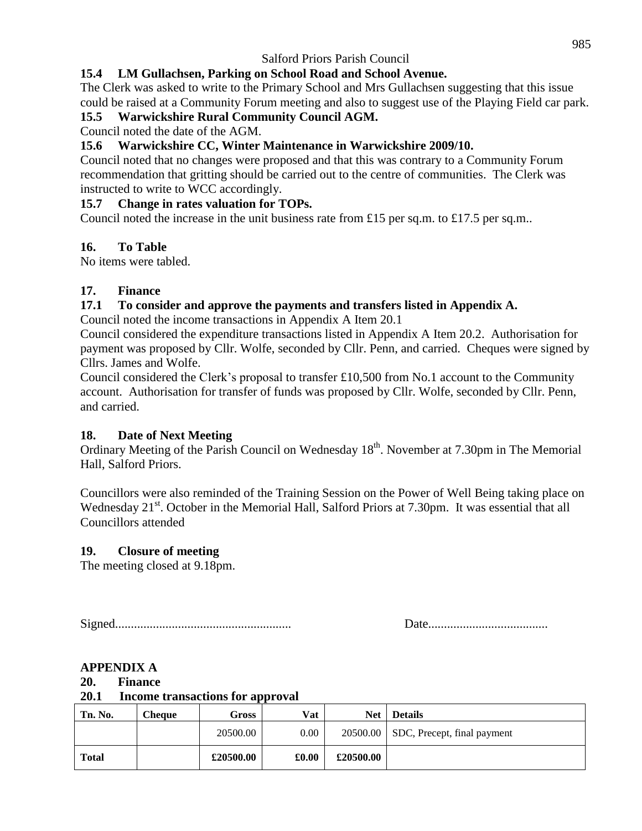# **15.4 LM Gullachsen, Parking on School Road and School Avenue.**

The Clerk was asked to write to the Primary School and Mrs Gullachsen suggesting that this issue could be raised at a Community Forum meeting and also to suggest use of the Playing Field car park.

### **15.5 Warwickshire Rural Community Council AGM.**

Council noted the date of the AGM.

### **15.6 Warwickshire CC, Winter Maintenance in Warwickshire 2009/10.**

Council noted that no changes were proposed and that this was contrary to a Community Forum recommendation that gritting should be carried out to the centre of communities. The Clerk was instructed to write to WCC accordingly.

#### **15.7 Change in rates valuation for TOPs.**

Council noted the increase in the unit business rate from £15 per sq.m. to £17.5 per sq.m..

#### **16. To Table**

No items were tabled.

### **17. Finance**

### **17.1 To consider and approve the payments and transfers listed in Appendix A.**

Council noted the income transactions in Appendix A Item 20.1

Council considered the expenditure transactions listed in Appendix A Item 20.2. Authorisation for payment was proposed by Cllr. Wolfe, seconded by Cllr. Penn, and carried. Cheques were signed by Cllrs. James and Wolfe.

Council considered the Clerk's proposal to transfer £10,500 from No.1 account to the Community account. Authorisation for transfer of funds was proposed by Cllr. Wolfe, seconded by Cllr. Penn, and carried.

### **18. Date of Next Meeting**

Ordinary Meeting of the Parish Council on Wednesday 18<sup>th</sup>. November at 7.30pm in The Memorial Hall, Salford Priors.

Councillors were also reminded of the Training Session on the Power of Well Being taking place on Wednesday 21<sup>st</sup>. October in the Memorial Hall, Salford Priors at 7.30pm. It was essential that all Councillors attended

### **19. Closure of meeting**

The meeting closed at 9.18pm.

Signed........................................................ Date......................................

### **APPENDIX A**

#### **20. Finance**

#### **20.1 Income transactions for approval**

| Tn. No.      | Cheque | Gross     | Vat   | Net       | <b>Details</b>              |
|--------------|--------|-----------|-------|-----------|-----------------------------|
|              |        | 20500.00  | 0.00  | 20500.00  | SDC, Precept, final payment |
| <b>Total</b> |        | £20500.00 | £0.00 | £20500.00 |                             |